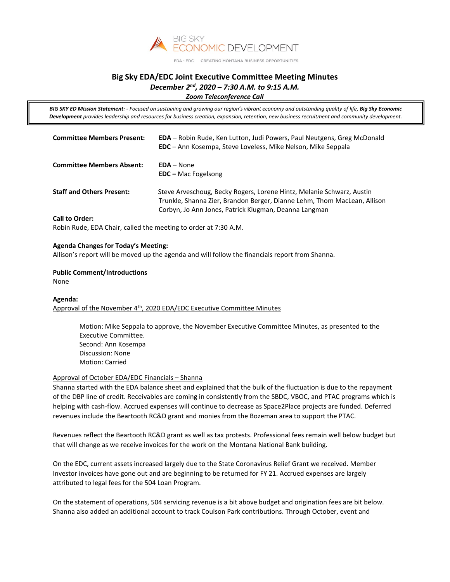

#### EDA · EDC CREATING MONTANA BUSINESS OPPORTUNITIES

# **Big Sky EDA/EDC Joint Executive Committee Meeting Minutes** *December 2nd, 2020 – 7:30 A.M. to 9:15 A.M.*

*Zoom Teleconference Call*

*BIG SKY ED Mission Statement: - Focused on sustaining and growing our region's vibrant economy and outstanding quality of life, Big Sky Economic Development provides leadership and resources for business creation, expansion, retention, new business recruitment and community development.*

| <b>Committee Members Present:</b>                         | <b>EDA</b> – Robin Rude, Ken Lutton, Judi Powers, Paul Neutgens, Greg McDonald<br>EDC - Ann Kosempa, Steve Loveless, Mike Nelson, Mike Seppala                                                             |
|-----------------------------------------------------------|------------------------------------------------------------------------------------------------------------------------------------------------------------------------------------------------------------|
| <b>Committee Members Absent:</b>                          | $EDA - None$<br>$EDC - Mac Fogelsong$                                                                                                                                                                      |
| <b>Staff and Others Present:</b><br><b>Call to Order:</b> | Steve Arveschoug, Becky Rogers, Lorene Hintz, Melanie Schwarz, Austin<br>Trunkle, Shanna Zier, Brandon Berger, Dianne Lehm, Thom MacLean, Allison<br>Corbyn, Jo Ann Jones, Patrick Klugman, Deanna Langman |

Robin Rude, EDA Chair, called the meeting to order at 7:30 A.M.

## **Agenda Changes for Today's Meeting:**

Allison's report will be moved up the agenda and will follow the financials report from Shanna.

#### **Public Comment/Introductions**  None

# **Agenda:** Approval of the November  $4<sup>th</sup>$ , 2020 EDA/EDC Executive Committee Minutes

Motion: Mike Seppala to approve, the November Executive Committee Minutes, as presented to the Executive Committee. Second: Ann Kosempa Discussion: None Motion: Carried

# Approval of October EDA/EDC Financials – Shanna

Shanna started with the EDA balance sheet and explained that the bulk of the fluctuation is due to the repayment of the DBP line of credit. Receivables are coming in consistently from the SBDC, VBOC, and PTAC programs which is helping with cash-flow. Accrued expenses will continue to decrease as Space2Place projects are funded. Deferred revenues include the Beartooth RC&D grant and monies from the Bozeman area to support the PTAC.

Revenues reflect the Beartooth RC&D grant as well as tax protests. Professional fees remain well below budget but that will change as we receive invoices for the work on the Montana National Bank building.

On the EDC, current assets increased largely due to the State Coronavirus Relief Grant we received. Member Investor invoices have gone out and are beginning to be returned for FY 21. Accrued expenses are largely attributed to legal fees for the 504 Loan Program.

On the statement of operations, 504 servicing revenue is a bit above budget and origination fees are bit below. Shanna also added an additional account to track Coulson Park contributions. Through October, event and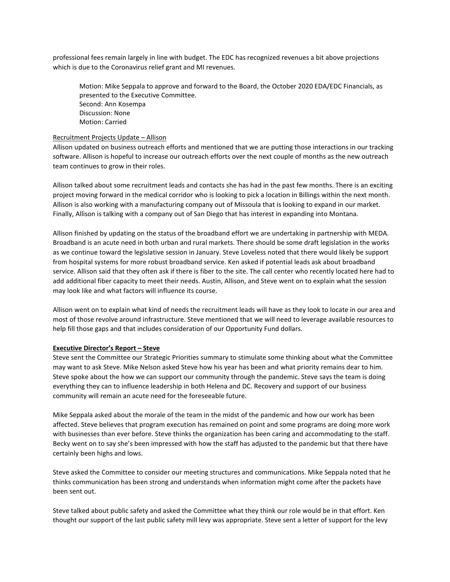professional fees remain largely in line with budget. The EDC has recognized revenues a bit above projections which is due to the Coronavirus relief grant and MI revenues.

Motion: Mike Seppala to approve and forward to the Board, the October 2020 EDA/EDC Financials, as presented to the Executive Committee. Second: Ann Kosempa Discussion: None Motion: Carried

#### Recruitment Projects Update – Allison

Allison updated on business outreach efforts and mentioned that we are putting those interactions in our tracking software. Allison is hopeful to increase our outreach efforts over the next couple of months as the new outreach team continues to grow in their roles.

Allison talked about some recruitment leads and contacts she has had in the past few months. There is an exciting project moving forward in the medical corridor who is looking to pick a location in Billings within the next month. Allison is also working with a manufacturing company out of Missoula that is looking to expand in our market. Finally, Allison is talking with a company out of San Diego that has interest in expanding into Montana.

Allison finished by updating on the status of the broadband effort we are undertaking in partnership with MEDA. Broadband is an acute need in both urban and rural markets. There should be some draft legislation in the works as we continue toward the legislative session in January. Steve Loveless noted that there would likely be support from hospital systems for more robust broadband service. Ken asked if potential leads ask about broadband service. Allison said that they often ask if there is fiber to the site. The call center who recently located here had to add additional fiber capacity to meet their needs. Austin, Allison, and Steve went on to explain what the session may look like and what factors will influence its course.

Allison went on to explain what kind of needs the recruitment leads will have as they look to locate in our area and most of those revolve around infrastructure. Steve mentioned that we will need to leverage available resources to help fill those gaps and that includes consideration of our Opportunity Fund dollars.

#### **Executive Director's Report – Steve**

Steve sent the Committee our Strategic Priorities summary to stimulate some thinking about what the Committee may want to ask Steve. Mike Nelson asked Steve how his year has been and what priority remains dear to him. Steve spoke about the how we can support our community through the pandemic. Steve says the team is doing everything they can to influence leadership in both Helena and DC. Recovery and support of our business community will remain an acute need for the foreseeable future.

Mike Seppala asked about the morale of the team in the midst of the pandemic and how our work has been affected. Steve believes that program execution has remained on point and some programs are doing more work with businesses than ever before. Steve thinks the organization has been caring and accommodating to the staff. Becky went on to say she's been impressed with how the staff has adjusted to the pandemic but that there have certainly been highs and lows.

Steve asked the Committee to consider our meeting structures and communications. Mike Seppala noted that he thinks communication has been strong and understands when information might come after the packets have been sent out.

Steve talked about public safety and asked the Committee what they think our role would be in that effort. Ken thought our support of the last public safety mill levy was appropriate. Steve sent a letter of support for the levy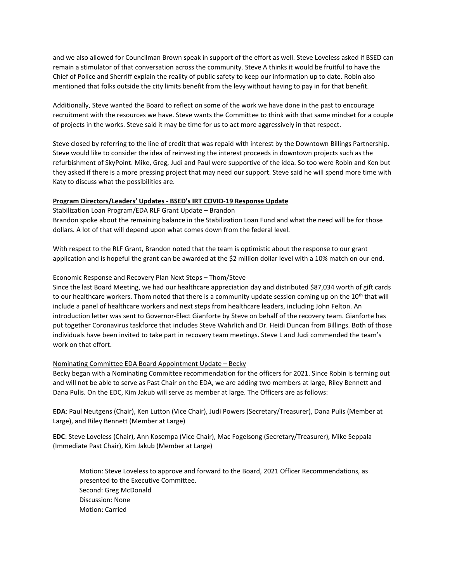and we also allowed for Councilman Brown speak in support of the effort as well. Steve Loveless asked if BSED can remain a stimulator of that conversation across the community. Steve A thinks it would be fruitful to have the Chief of Police and Sherriff explain the reality of public safety to keep our information up to date. Robin also mentioned that folks outside the city limits benefit from the levy without having to pay in for that benefit.

Additionally, Steve wanted the Board to reflect on some of the work we have done in the past to encourage recruitment with the resources we have. Steve wants the Committee to think with that same mindset for a couple of projects in the works. Steve said it may be time for us to act more aggressively in that respect.

Steve closed by referring to the line of credit that was repaid with interest by the Downtown Billings Partnership. Steve would like to consider the idea of reinvesting the interest proceeds in downtown projects such as the refurbishment of SkyPoint. Mike, Greg, Judi and Paul were supportive of the idea. So too were Robin and Ken but they asked if there is a more pressing project that may need our support. Steve said he will spend more time with Katy to discuss what the possibilities are.

## **Program Directors/Leaders' Updates - BSED's IRT COVID-19 Response Update**

## Stabilization Loan Program/EDA RLF Grant Update – Brandon

Brandon spoke about the remaining balance in the Stabilization Loan Fund and what the need will be for those dollars. A lot of that will depend upon what comes down from the federal level.

With respect to the RLF Grant, Brandon noted that the team is optimistic about the response to our grant application and is hopeful the grant can be awarded at the \$2 million dollar level with a 10% match on our end.

## Economic Response and Recovery Plan Next Steps – Thom/Steve

Since the last Board Meeting, we had our healthcare appreciation day and distributed \$87,034 worth of gift cards to our healthcare workers. Thom noted that there is a community update session coming up on the  $10^{th}$  that will include a panel of healthcare workers and next steps from healthcare leaders, including John Felton. An introduction letter was sent to Governor-Elect Gianforte by Steve on behalf of the recovery team. Gianforte has put together Coronavirus taskforce that includes Steve Wahrlich and Dr. Heidi Duncan from Billings. Both of those individuals have been invited to take part in recovery team meetings. Steve L and Judi commended the team's work on that effort.

#### Nominating Committee EDA Board Appointment Update – Becky

Becky began with a Nominating Committee recommendation for the officers for 2021. Since Robin is terming out and will not be able to serve as Past Chair on the EDA, we are adding two members at large, Riley Bennett and Dana Pulis. On the EDC, Kim Jakub will serve as member at large. The Officers are as follows:

**EDA**: Paul Neutgens (Chair), Ken Lutton (Vice Chair), Judi Powers (Secretary/Treasurer), Dana Pulis (Member at Large), and Riley Bennett (Member at Large)

**EDC**: Steve Loveless (Chair), Ann Kosempa (Vice Chair), Mac Fogelsong (Secretary/Treasurer), Mike Seppala (Immediate Past Chair), Kim Jakub (Member at Large)

Motion: Steve Loveless to approve and forward to the Board, 2021 Officer Recommendations, as presented to the Executive Committee. Second: Greg McDonald Discussion: None Motion: Carried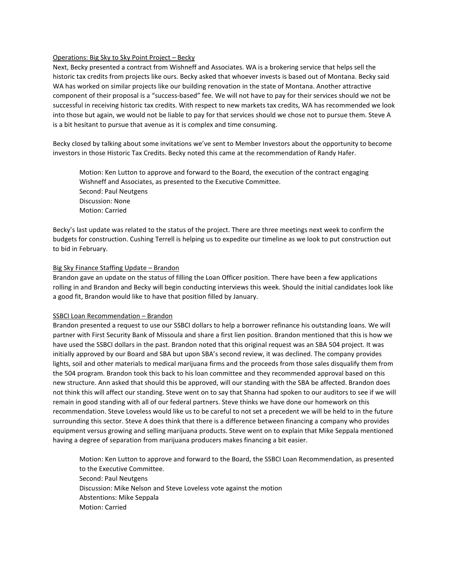### Operations: Big Sky to Sky Point Project – Becky

Next, Becky presented a contract from Wishneff and Associates. WA is a brokering service that helps sell the historic tax credits from projects like ours. Becky asked that whoever invests is based out of Montana. Becky said WA has worked on similar projects like our building renovation in the state of Montana. Another attractive component of their proposal is a "success-based" fee. We will not have to pay for their services should we not be successful in receiving historic tax credits. With respect to new markets tax credits, WA has recommended we look into those but again, we would not be liable to pay for that services should we chose not to pursue them. Steve A is a bit hesitant to pursue that avenue as it is complex and time consuming.

Becky closed by talking about some invitations we've sent to Member Investors about the opportunity to become investors in those Historic Tax Credits. Becky noted this came at the recommendation of Randy Hafer.

Motion: Ken Lutton to approve and forward to the Board, the execution of the contract engaging Wishneff and Associates, as presented to the Executive Committee. Second: Paul Neutgens Discussion: None Motion: Carried

Becky's last update was related to the status of the project. There are three meetings next week to confirm the budgets for construction. Cushing Terrell is helping us to expedite our timeline as we look to put construction out to bid in February.

#### Big Sky Finance Staffing Update – Brandon

Brandon gave an update on the status of filling the Loan Officer position. There have been a few applications rolling in and Brandon and Becky will begin conducting interviews this week. Should the initial candidates look like a good fit, Brandon would like to have that position filled by January.

#### SSBCI Loan Recommendation – Brandon

Brandon presented a request to use our SSBCI dollars to help a borrower refinance his outstanding loans. We will partner with First Security Bank of Missoula and share a first lien position. Brandon mentioned that this is how we have used the SSBCI dollars in the past. Brandon noted that this original request was an SBA 504 project. It was initially approved by our Board and SBA but upon SBA's second review, it was declined. The company provides lights, soil and other materials to medical marijuana firms and the proceeds from those sales disqualify them from the 504 program. Brandon took this back to his loan committee and they recommended approval based on this new structure. Ann asked that should this be approved, will our standing with the SBA be affected. Brandon does not think this will affect our standing. Steve went on to say that Shanna had spoken to our auditors to see if we will remain in good standing with all of our federal partners. Steve thinks we have done our homework on this recommendation. Steve Loveless would like us to be careful to not set a precedent we will be held to in the future surrounding this sector. Steve A does think that there is a difference between financing a company who provides equipment versus growing and selling marijuana products. Steve went on to explain that Mike Seppala mentioned having a degree of separation from marijuana producers makes financing a bit easier.

Motion: Ken Lutton to approve and forward to the Board, the SSBCI Loan Recommendation, as presented to the Executive Committee. Second: Paul Neutgens Discussion: Mike Nelson and Steve Loveless vote against the motion Abstentions: Mike Seppala Motion: Carried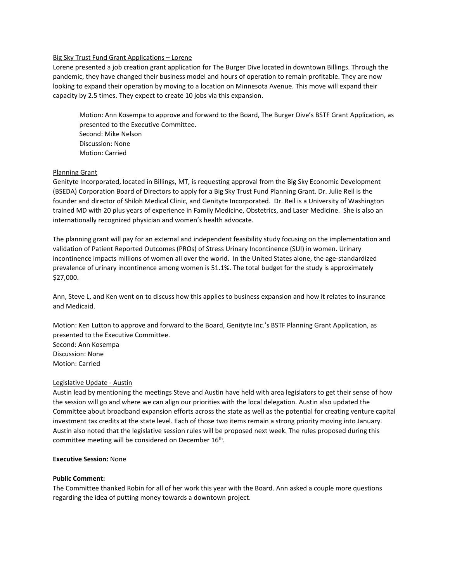## Big Sky Trust Fund Grant Applications – Lorene

Lorene presented a job creation grant application for The Burger Dive located in downtown Billings. Through the pandemic, they have changed their business model and hours of operation to remain profitable. They are now looking to expand their operation by moving to a location on Minnesota Avenue. This move will expand their capacity by 2.5 times. They expect to create 10 jobs via this expansion.

Motion: Ann Kosempa to approve and forward to the Board, The Burger Dive's BSTF Grant Application, as presented to the Executive Committee. Second: Mike Nelson Discussion: None Motion: Carried

# Planning Grant

Genityte Incorporated, located in Billings, MT, is requesting approval from the Big Sky Economic Development (BSEDA) Corporation Board of Directors to apply for a Big Sky Trust Fund Planning Grant. Dr. Julie Reil is the founder and director of Shiloh Medical Clinic, and Genityte Incorporated. Dr. Reil is a University of Washington trained MD with 20 plus years of experience in Family Medicine, Obstetrics, and Laser Medicine. She is also an internationally recognized physician and women's health advocate.

The planning grant will pay for an external and independent feasibility study focusing on the implementation and validation of Patient Reported Outcomes (PROs) of Stress Urinary Incontinence (SUI) in women. Urinary incontinence impacts millions of women all over the world. In the United States alone, the age-standardized prevalence of urinary incontinence among women is 51.1%. The total budget for the study is approximately \$27,000.

Ann, Steve L, and Ken went on to discuss how this applies to business expansion and how it relates to insurance and Medicaid.

Motion: Ken Lutton to approve and forward to the Board, Genityte Inc.'s BSTF Planning Grant Application, as presented to the Executive Committee.

Second: Ann Kosempa Discussion: None Motion: Carried

# Legislative Update - Austin

Austin lead by mentioning the meetings Steve and Austin have held with area legislators to get their sense of how the session will go and where we can align our priorities with the local delegation. Austin also updated the Committee about broadband expansion efforts across the state as well as the potential for creating venture capital investment tax credits at the state level. Each of those two items remain a strong priority moving into January. Austin also noted that the legislative session rules will be proposed next week. The rules proposed during this committee meeting will be considered on December 16th.

#### **Executive Session:** None

#### **Public Comment:**

The Committee thanked Robin for all of her work this year with the Board. Ann asked a couple more questions regarding the idea of putting money towards a downtown project.